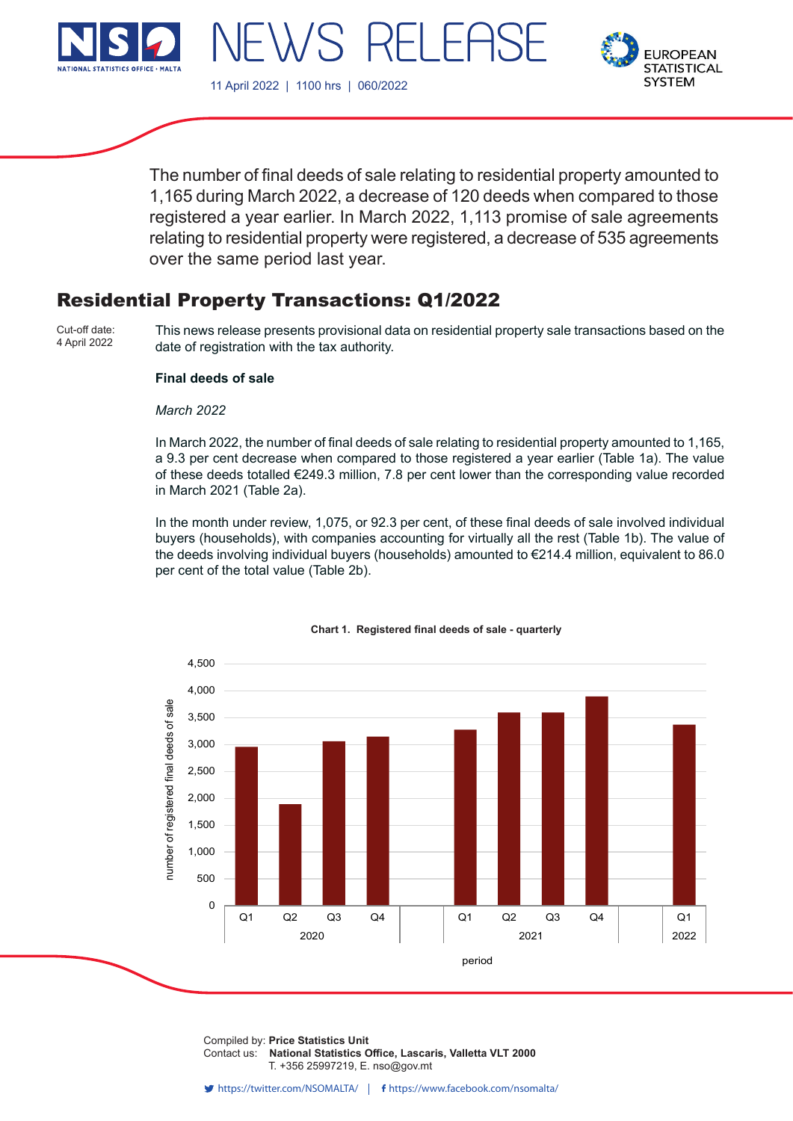





The number of final deeds of sale relating to residential property amounted to 1,165 during March 2022, a decrease of 120 deeds when compared to those registered a year earlier. In March 2022, 1,113 promise of sale agreements relating to residential property were registered, a decrease of 535 agreements over the same period last year.

# Residential Property Transactions: Q1/2022

Cut-off date: 4 April 2022

This news release presents provisional data on residential property sale transactions based on the date of registration with the tax authority.

## **Final deeds of sale**

#### *March 2022*

In March 2022, the number of final deeds of sale relating to residential property amounted to 1,165, a 9.3 per cent decrease when compared to those registered a year earlier (Table 1a). The value of these deeds totalled €249.3 million, 7.8 per cent lower than the corresponding value recorded in March 2021 (Table 2a).

In the month under review, 1,075, or 92.3 per cent, of these final deeds of sale involved individual buyers (households), with companies accounting for virtually all the rest (Table 1b). The value of the deeds involving individual buyers (households) amounted to €214.4 million, equivalent to 86.0 per cent of the total value (Table 2b).



#### **Chart 1. Registered final deeds of sale - quarterly**

Compiled by: Price Statistics Unit Contact us: National Statistics Office, Lascaris, Valletta VLT 2000 T. +356 25997219, E. nso@gov.mt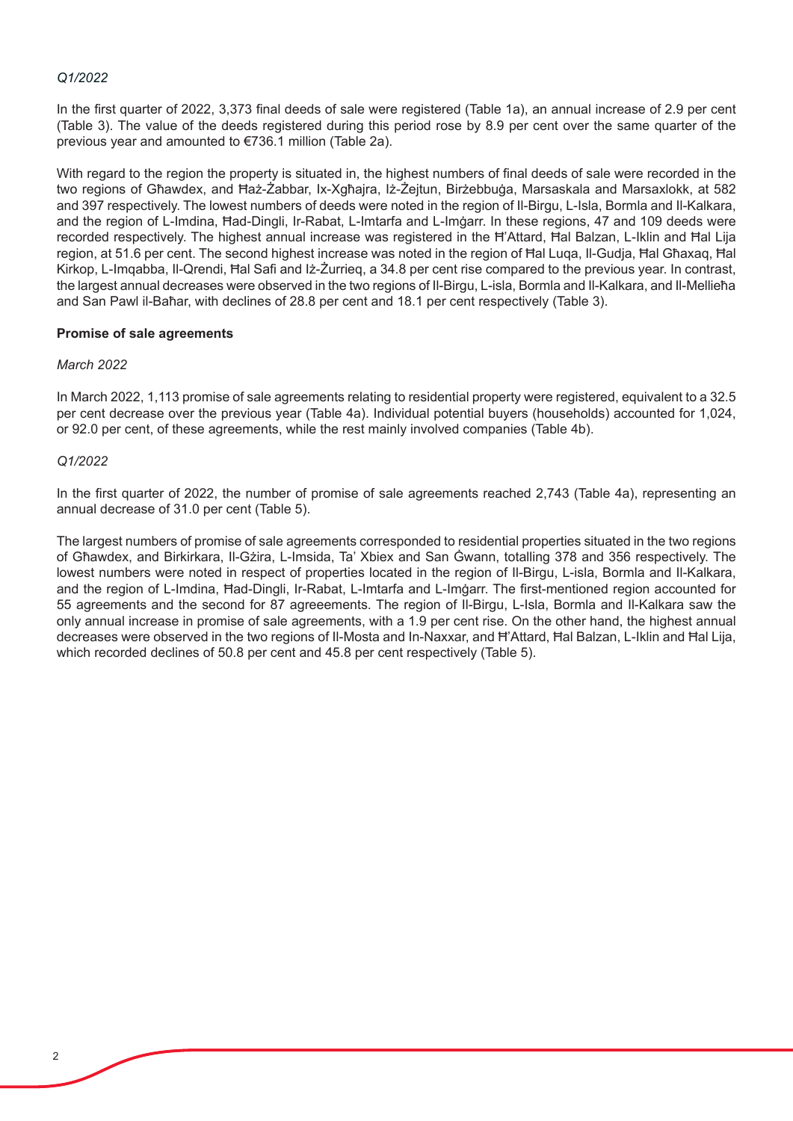#### *Q1/2022*

In the first quarter of 2022, 3,373 final deeds of sale were registered (Table 1a), an annual increase of 2.9 per cent (Table 3). The value of the deeds registered during this period rose by 8.9 per cent over the same quarter of the previous year and amounted to €736.1 million (Table 2a).

With regard to the region the property is situated in, the highest numbers of final deeds of sale were recorded in the two regions of Għawdex, and Ħaż-Żabbar, Ix-Xgħajra, Iż-Żejtun, Birżebbuġa, Marsaskala and Marsaxlokk, at 582 and 397 respectively. The lowest numbers of deeds were noted in the region of Il-Birgu, L-Isla, Bormla and Il-Kalkara, and the region of L-Imdina, Ħad-Dingli, Ir-Rabat, L-Imtarfa and L-Imġarr. In these regions, 47 and 109 deeds were recorded respectively. The highest annual increase was registered in the Ħ'Attard, Ħal Balzan, L-Iklin and Ħal Lija region, at 51.6 per cent. The second highest increase was noted in the region of Ħal Luqa, Il-Gudja, Ħal Għaxaq, Ħal Kirkop, L-Imqabba, Il-Qrendi, Ħal Safi and Iż-Żurrieq, a 34.8 per cent rise compared to the previous year. In contrast, the largest annual decreases were observed in the two regions of Il-Birgu, L-isla, Bormla and Il-Kalkara, and Il-Mellieħa and San Pawl il-Baħar, with declines of 28.8 per cent and 18.1 per cent respectively (Table 3).

#### **Promise of sale agreements**

## *March 2022*

In March 2022, 1,113 promise of sale agreements relating to residential property were registered, equivalent to a 32.5 per cent decrease over the previous year (Table 4a). Individual potential buyers (households) accounted for 1,024, or 92.0 per cent, of these agreements, while the rest mainly involved companies (Table 4b).

## *Q1/2022*

In the first quarter of 2022, the number of promise of sale agreements reached 2,743 (Table 4a), representing an annual decrease of 31.0 per cent (Table 5).

The largest numbers of promise of sale agreements corresponded to residential properties situated in the two regions of Għawdex, and Birkirkara, Il-Gżira, L-Imsida, Ta' Xbiex and San Ġwann, totalling 378 and 356 respectively. The lowest numbers were noted in respect of properties located in the region of Il-Birgu, L-isla, Bormla and Il-Kalkara, and the region of L-Imdina, Ħad-Dingli, Ir-Rabat, L-Imtarfa and L-Imġarr. The first-mentioned region accounted for 55 agreements and the second for 87 agreeements. The region of Il-Birgu, L-Isla, Bormla and Il-Kalkara saw the only annual increase in promise of sale agreements, with a 1.9 per cent rise. On the other hand, the highest annual decreases were observed in the two regions of Il-Mosta and In-Naxxar, and Ħ'Attard, Ħal Balzan, L-Iklin and Ħal Lija, which recorded declines of 50.8 per cent and 45.8 per cent respectively (Table 5).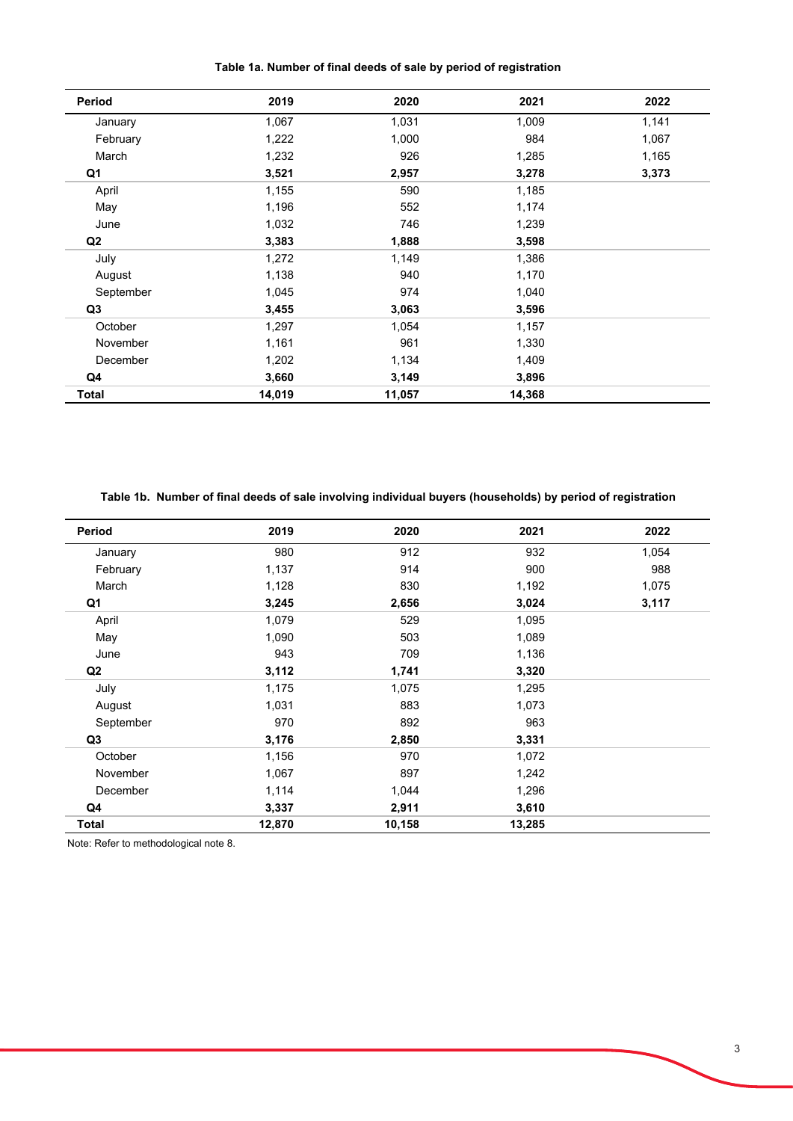**Table 1a. Number of final deeds of sale by period of registration**

| Period       | 2019   | 2020   | 2021   | 2022  |
|--------------|--------|--------|--------|-------|
| January      | 1,067  | 1,031  | 1,009  | 1,141 |
| February     | 1,222  | 1,000  | 984    | 1,067 |
| March        | 1,232  | 926    | 1,285  | 1,165 |
| Q1           | 3,521  | 2,957  | 3,278  | 3,373 |
| April        | 1,155  | 590    | 1,185  |       |
| May          | 1,196  | 552    | 1,174  |       |
| June         | 1,032  | 746    | 1,239  |       |
| Q2           | 3,383  | 1,888  | 3,598  |       |
| July         | 1,272  | 1,149  | 1,386  |       |
| August       | 1,138  | 940    | 1,170  |       |
| September    | 1,045  | 974    | 1,040  |       |
| Q3           | 3,455  | 3,063  | 3,596  |       |
| October      | 1,297  | 1,054  | 1,157  |       |
| November     | 1,161  | 961    | 1,330  |       |
| December     | 1,202  | 1,134  | 1,409  |       |
| Q4           | 3,660  | 3,149  | 3,896  |       |
| <b>Total</b> | 14,019 | 11,057 | 14,368 |       |

**Table 1b. Number of final deeds of sale involving individual buyers (households) by period of registration**

| Period         | 2019   | 2020   | 2021   | 2022  |
|----------------|--------|--------|--------|-------|
| January        | 980    | 912    | 932    | 1,054 |
| February       | 1,137  | 914    | 900    | 988   |
| March          | 1,128  | 830    | 1,192  | 1,075 |
| Q1             | 3,245  | 2,656  | 3,024  | 3,117 |
| April          | 1,079  | 529    | 1,095  |       |
| May            | 1,090  | 503    | 1,089  |       |
| June           | 943    | 709    | 1,136  |       |
| Q <sub>2</sub> | 3,112  | 1,741  | 3,320  |       |
| July           | 1,175  | 1,075  | 1,295  |       |
| August         | 1,031  | 883    | 1,073  |       |
| September      | 970    | 892    | 963    |       |
| Q3             | 3,176  | 2,850  | 3,331  |       |
| October        | 1,156  | 970    | 1,072  |       |
| November       | 1,067  | 897    | 1,242  |       |
| December       | 1,114  | 1,044  | 1,296  |       |
| Q4             | 3,337  | 2,911  | 3,610  |       |
| Total          | 12,870 | 10,158 | 13,285 |       |

Note: Refer to methodological note 8.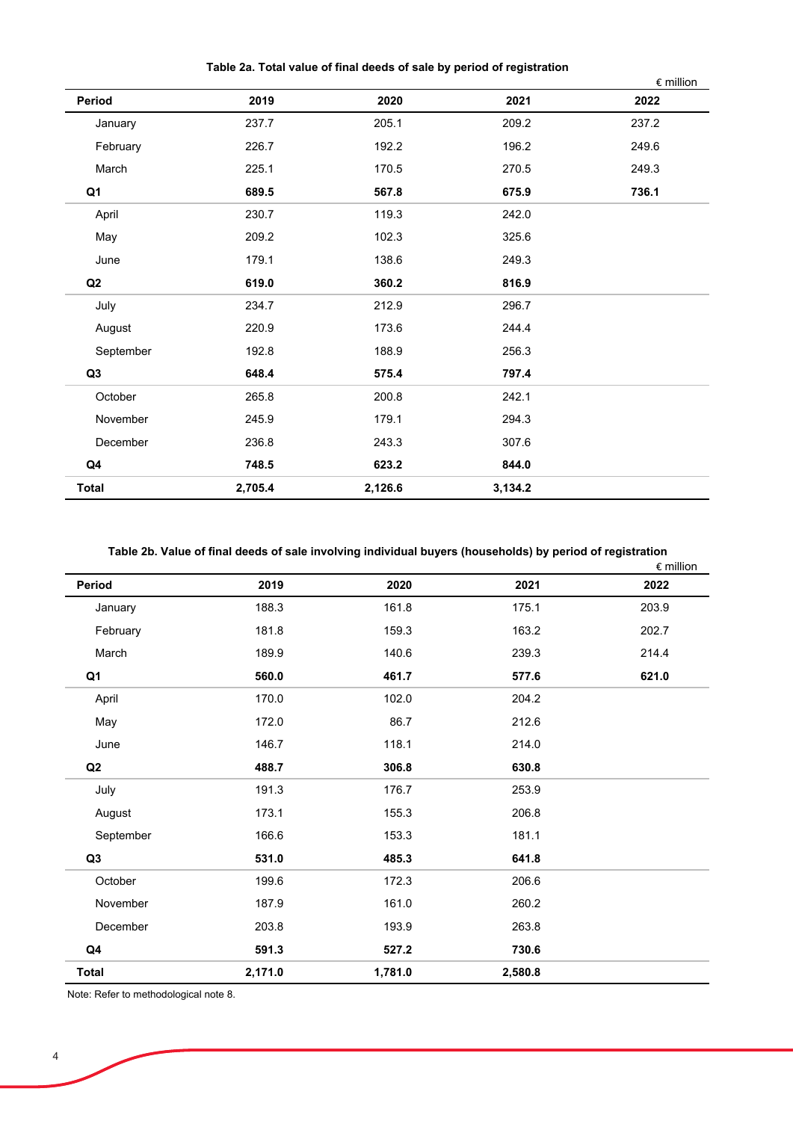**Table 2a. Total value of final deeds of sale by period of registration**

|                |         |         |         | € million |
|----------------|---------|---------|---------|-----------|
| Period         | 2019    | 2020    | 2021    | 2022      |
| January        | 237.7   | 205.1   | 209.2   | 237.2     |
| February       | 226.7   | 192.2   | 196.2   | 249.6     |
| March          | 225.1   | 170.5   | 270.5   | 249.3     |
| Q <sub>1</sub> | 689.5   | 567.8   | 675.9   | 736.1     |
| April          | 230.7   | 119.3   | 242.0   |           |
| May            | 209.2   | 102.3   | 325.6   |           |
| June           | 179.1   | 138.6   | 249.3   |           |
| ${\bf Q2}$     | 619.0   | 360.2   | 816.9   |           |
| July           | 234.7   | 212.9   | 296.7   |           |
| August         | 220.9   | 173.6   | 244.4   |           |
| September      | 192.8   | 188.9   | 256.3   |           |
| Q3             | 648.4   | 575.4   | 797.4   |           |
| October        | 265.8   | 200.8   | 242.1   |           |
| November       | 245.9   | 179.1   | 294.3   |           |
| December       | 236.8   | 243.3   | 307.6   |           |
| Q4             | 748.5   | 623.2   | 844.0   |           |
| <b>Total</b>   | 2,705.4 | 2,126.6 | 3,134.2 |           |

## **Table 2b. Value of final deeds of sale involving individual buyers (households) by period of registration**

|              |         |         | <u>or mar accae or calc mroning marriagal sajolo (houconcluo) sy polica or regionali</u> | $\epsilon$ million |
|--------------|---------|---------|------------------------------------------------------------------------------------------|--------------------|
| Period       | 2019    | 2020    | 2021                                                                                     | 2022               |
| January      | 188.3   | 161.8   | 175.1                                                                                    | 203.9              |
| February     | 181.8   | 159.3   | 163.2                                                                                    | 202.7              |
| March        | 189.9   | 140.6   | 239.3                                                                                    | 214.4              |
| Q1           | 560.0   | 461.7   | 577.6                                                                                    | 621.0              |
| April        | 170.0   | 102.0   | 204.2                                                                                    |                    |
| May          | 172.0   | 86.7    | 212.6                                                                                    |                    |
| June         | 146.7   | 118.1   | 214.0                                                                                    |                    |
| Q2           | 488.7   | 306.8   | 630.8                                                                                    |                    |
| July         | 191.3   | 176.7   | 253.9                                                                                    |                    |
| August       | 173.1   | 155.3   | 206.8                                                                                    |                    |
| September    | 166.6   | 153.3   | 181.1                                                                                    |                    |
| Q3           | 531.0   | 485.3   | 641.8                                                                                    |                    |
| October      | 199.6   | 172.3   | 206.6                                                                                    |                    |
| November     | 187.9   | 161.0   | 260.2                                                                                    |                    |
| December     | 203.8   | 193.9   | 263.8                                                                                    |                    |
| Q4           | 591.3   | 527.2   | 730.6                                                                                    |                    |
| <b>Total</b> | 2,171.0 | 1,781.0 | 2,580.8                                                                                  |                    |

Note: Refer to methodological note 8.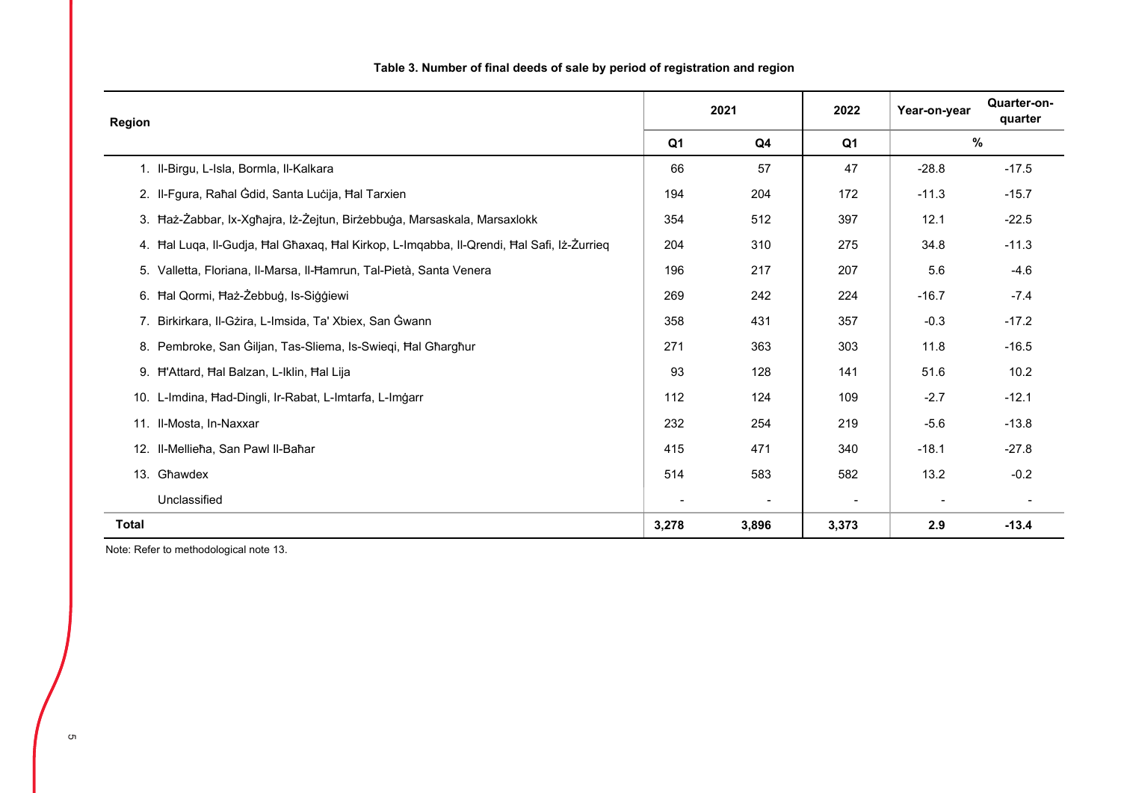| Region       |                                                                                           | 2021  |                          | 2022                     | Year-on-year             | Quarter-on-<br>quarter |
|--------------|-------------------------------------------------------------------------------------------|-------|--------------------------|--------------------------|--------------------------|------------------------|
|              |                                                                                           |       | Q4                       | Q <sub>1</sub>           |                          | $\%$                   |
|              | 1. Il-Birgu, L-Isla, Bormla, Il-Kalkara                                                   | 66    | 57                       | 47                       | $-28.8$                  | $-17.5$                |
|              | 2. Il-Fgura, Raħal Ġdid, Santa Luċija, Ħal Tarxien                                        | 194   | 204                      | 172                      | $-11.3$                  | $-15.7$                |
|              | 3. Haż-Żabbar, Ix-Xgħajra, Iż-Żejtun, Birżebbuġa, Marsaskala, Marsaxlokk                  | 354   | 512                      | 397                      | 12.1                     | $-22.5$                |
|              | 4. Hal Luqa, Il-Gudja, Hal Għaxaq, Hal Kirkop, L-Imqabba, Il-Qrendi, Hal Safi, Iż-Żurrieq | 204   | 310                      | 275                      | 34.8                     | $-11.3$                |
|              | 5. Valletta, Floriana, Il-Marsa, Il-Hamrun, Tal-Pietà, Santa Venera                       | 196   | 217                      | 207                      | 5.6                      | $-4.6$                 |
|              | 6. Hal Qormi, Haż-Żebbuġ, Is-Siġġiewi                                                     | 269   | 242                      | 224                      | $-16.7$                  | $-7.4$                 |
|              | 7. Birkirkara, Il-Gżira, L-Imsida, Ta' Xbiex, San Ġwann                                   | 358   | 431                      | 357                      | $-0.3$                   | $-17.2$                |
|              | 8. Pembroke, San Giljan, Tas-Sliema, Is-Swieqi, Hal Gharghur                              | 271   | 363                      | 303                      | 11.8                     | $-16.5$                |
|              | 9. H'Attard, Hal Balzan, L-Iklin, Hal Lija                                                | 93    | 128                      | 141                      | 51.6                     | 10.2                   |
|              | 10. L-Imdina, Had-Dingli, Ir-Rabat, L-Imtarfa, L-Imgarr                                   | 112   | 124                      | 109                      | $-2.7$                   | $-12.1$                |
|              | 11. Il-Mosta, In-Naxxar                                                                   | 232   | 254                      | 219                      | $-5.6$                   | $-13.8$                |
|              | 12. Il-Mellieħa, San Pawl Il-Baħar                                                        | 415   | 471                      | 340                      | $-18.1$                  | $-27.8$                |
|              | 13. Għawdex                                                                               | 514   | 583                      | 582                      | 13.2                     | $-0.2$                 |
|              | Unclassified                                                                              |       | $\overline{\phantom{a}}$ | $\overline{\phantom{a}}$ | $\overline{\phantom{a}}$ |                        |
| <b>Total</b> |                                                                                           | 3,278 | 3,896                    | 3,373                    | 2.9                      | $-13.4$                |

# **Table 3. Number of final deeds of sale by period of registration and region**

Note: Refer to methodological note 13.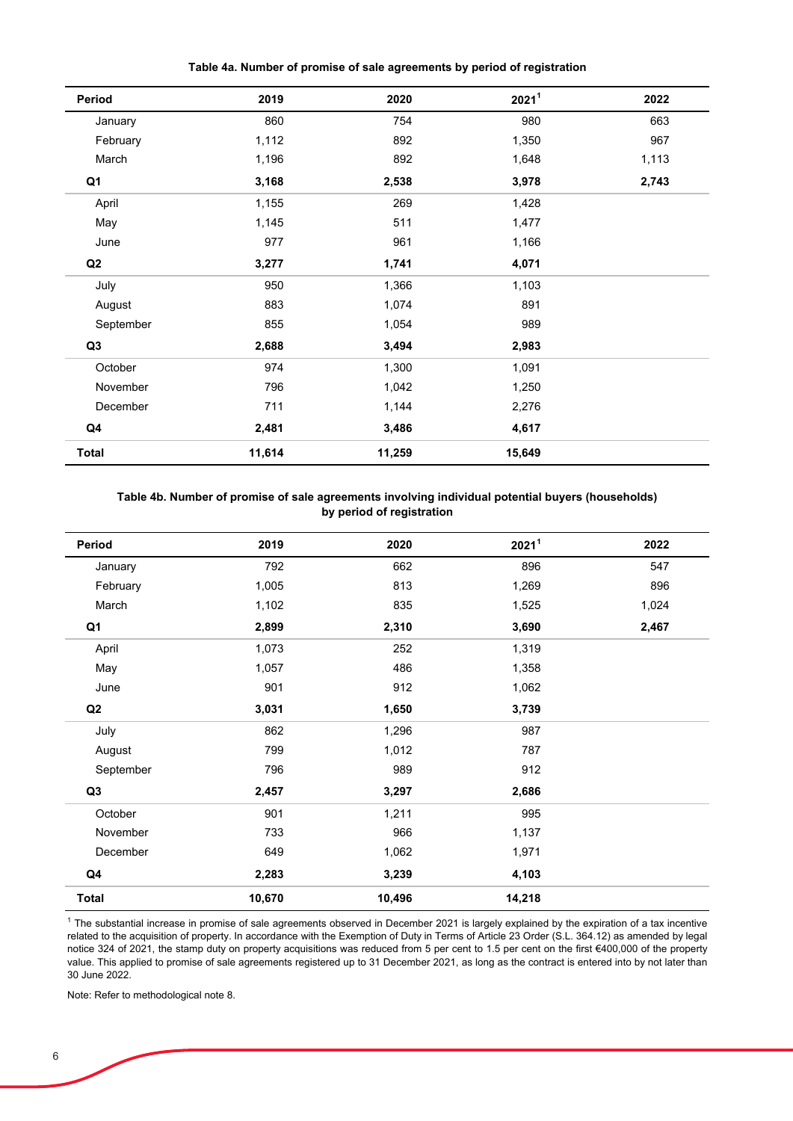**Table 4a. Number of promise of sale agreements by period of registration**

| Period         | 2019   | 2020   | 2021 <sup>1</sup> | 2022  |
|----------------|--------|--------|-------------------|-------|
| January        | 860    | 754    | 980               | 663   |
| February       | 1,112  | 892    | 1,350             | 967   |
| March          | 1,196  | 892    | 1,648             | 1,113 |
| Q <sub>1</sub> | 3,168  | 2,538  | 3,978             | 2,743 |
| April          | 1,155  | 269    | 1,428             |       |
| May            | 1,145  | 511    | 1,477             |       |
| June           | 977    | 961    | 1,166             |       |
| ${\bf Q2}$     | 3,277  | 1,741  | 4,071             |       |
| July           | 950    | 1,366  | 1,103             |       |
| August         | 883    | 1,074  | 891               |       |
| September      | 855    | 1,054  | 989               |       |
| Q <sub>3</sub> | 2,688  | 3,494  | 2,983             |       |
| October        | 974    | 1,300  | 1,091             |       |
| November       | 796    | 1,042  | 1,250             |       |
| December       | 711    | 1,144  | 2,276             |       |
| Q <sub>4</sub> | 2,481  | 3,486  | 4,617             |       |
| Total          | 11,614 | 11,259 | 15,649            |       |

#### **Table 4b. Number of promise of sale agreements involving individual potential buyers (households) by period of registration**

| Period         | 2019   | 2020   | 2021 <sup>1</sup> | 2022  |
|----------------|--------|--------|-------------------|-------|
| January        | 792    | 662    | 896               | 547   |
| February       | 1,005  | 813    | 1,269             | 896   |
| March          | 1,102  | 835    | 1,525             | 1,024 |
| Q <sub>1</sub> | 2,899  | 2,310  | 3,690             | 2,467 |
| April          | 1,073  | 252    | 1,319             |       |
| May            | 1,057  | 486    | 1,358             |       |
| June           | 901    | 912    | 1,062             |       |
| Q2             | 3,031  | 1,650  | 3,739             |       |
| July           | 862    | 1,296  | 987               |       |
| August         | 799    | 1,012  | 787               |       |
| September      | 796    | 989    | 912               |       |
| Q <sub>3</sub> | 2,457  | 3,297  | 2,686             |       |
| October        | 901    | 1,211  | 995               |       |
| November       | 733    | 966    | 1,137             |       |
| December       | 649    | 1,062  | 1,971             |       |
| Q4             | 2,283  | 3,239  | 4,103             |       |
| <b>Total</b>   | 10,670 | 10,496 | 14,218            |       |

 $1$  The substantial increase in promise of sale agreements observed in December 2021 is largely explained by the expiration of a tax incentive related to the acquisition of property. In accordance with the Exemption of Duty in Terms of Article 23 Order (S.L. 364.12) as amended by legal notice 324 of 2021, the stamp duty on property acquisitions was reduced from 5 per cent to 1.5 per cent on the first €400,000 of the property value. This applied to promise of sale agreements registered up to 31 December 2021, as long as the contract is entered into by not later than 30 June 2022.

Note: Refer to methodological note 8.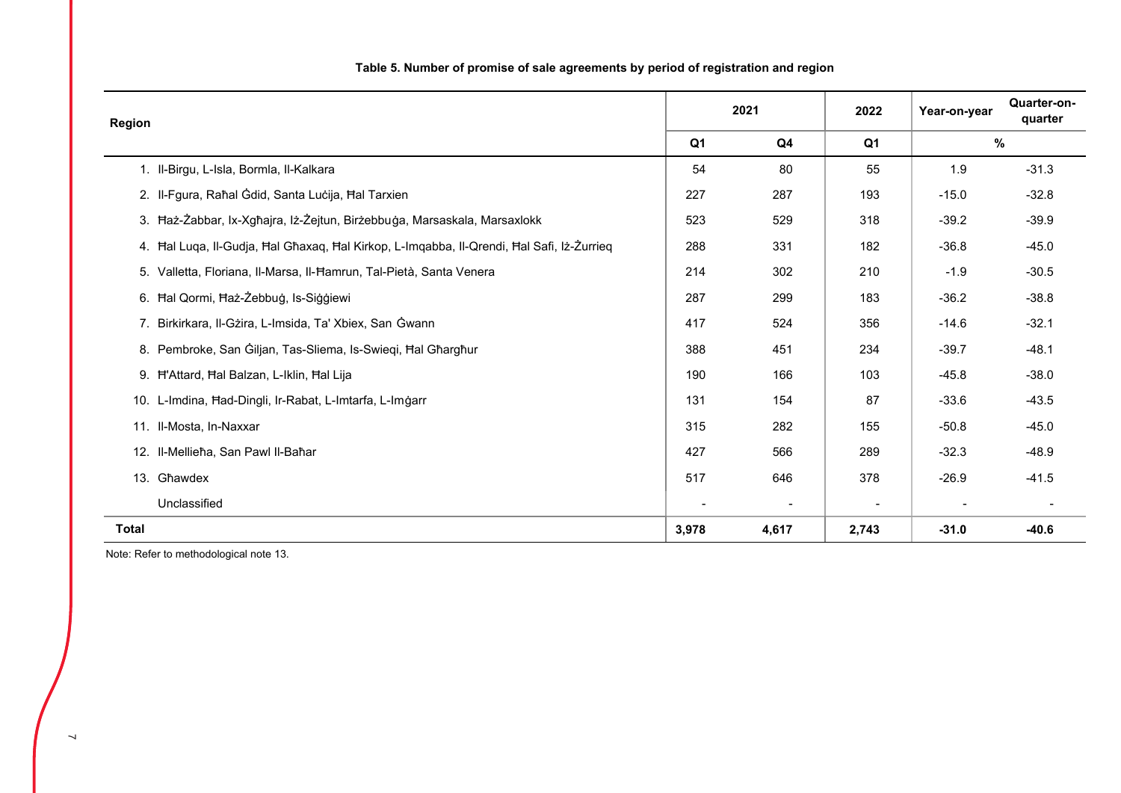|              | <b>Region</b>                                                                             |                | 2021                     |                          | Year-on-year | Quarter-on-<br>quarter |
|--------------|-------------------------------------------------------------------------------------------|----------------|--------------------------|--------------------------|--------------|------------------------|
|              |                                                                                           | Q <sub>1</sub> | Q4                       | Q1                       |              | $\%$                   |
|              | 1. Il-Birgu, L-Isla, Bormla, Il-Kalkara                                                   | 54             | 80                       | 55                       | 1.9          | $-31.3$                |
|              | 2. Il-Fgura, Raħal Ġdid, Santa Luċija, Ħal Tarxien                                        | 227            | 287                      | 193                      | $-15.0$      | $-32.8$                |
|              | 3. Haż-Żabbar, Ix-Xgħajra, Iż-Żejtun, Birżebbuġa, Marsaskala, Marsaxlokk                  | 523            | 529                      | 318                      | $-39.2$      | $-39.9$                |
|              | 4. Hal Luqa, Il-Gudja, Hal Għaxaq, Hal Kirkop, L-Imqabba, Il-Qrendi, Hal Safi, Iz-Zurrieq | 288            | 331                      | 182                      | $-36.8$      | $-45.0$                |
|              | 5. Valletta, Floriana, Il-Marsa, Il-Hamrun, Tal-Pietà, Santa Venera                       | 214            | 302                      | 210                      | $-1.9$       | $-30.5$                |
|              | 6. Hal Qormi, Haż-Żebbuġ, Is-Siġġiewi                                                     | 287            | 299                      | 183                      | $-36.2$      | $-38.8$                |
|              | 7. Birkirkara, Il-Gżira, L-Imsida, Ta' Xbiex, San Ġwann                                   | 417            | 524                      | 356                      | $-14.6$      | $-32.1$                |
|              | 8. Pembroke, San Giljan, Tas-Sliema, Is-Swieqi, Hal Gharghur                              | 388            | 451                      | 234                      | $-39.7$      | $-48.1$                |
|              | 9. H'Attard, Hal Balzan, L-Iklin, Hal Lija                                                | 190            | 166                      | 103                      | $-45.8$      | $-38.0$                |
|              | 10. L-Imdina, Had-Dingli, Ir-Rabat, L-Imtarfa, L-Imgarr                                   | 131            | 154                      | 87                       | $-33.6$      | $-43.5$                |
|              | 11. Il-Mosta, In-Naxxar                                                                   | 315            | 282                      | 155                      | $-50.8$      | $-45.0$                |
|              | 12. Il-Mellieħa, San Pawl Il-Baħar                                                        | 427            | 566                      | 289                      | $-32.3$      | $-48.9$                |
|              | 13. Għawdex                                                                               | 517            | 646                      | 378                      | $-26.9$      | $-41.5$                |
|              | Unclassified                                                                              |                | $\overline{\phantom{a}}$ | $\overline{\phantom{0}}$ |              |                        |
| <b>Total</b> |                                                                                           | 3,978          | 4,617                    | 2,743                    | $-31.0$      | $-40.6$                |

# **Table 5. Number of promise of sale agreements by period of registration and region**

Note: Refer to methodological note 13.